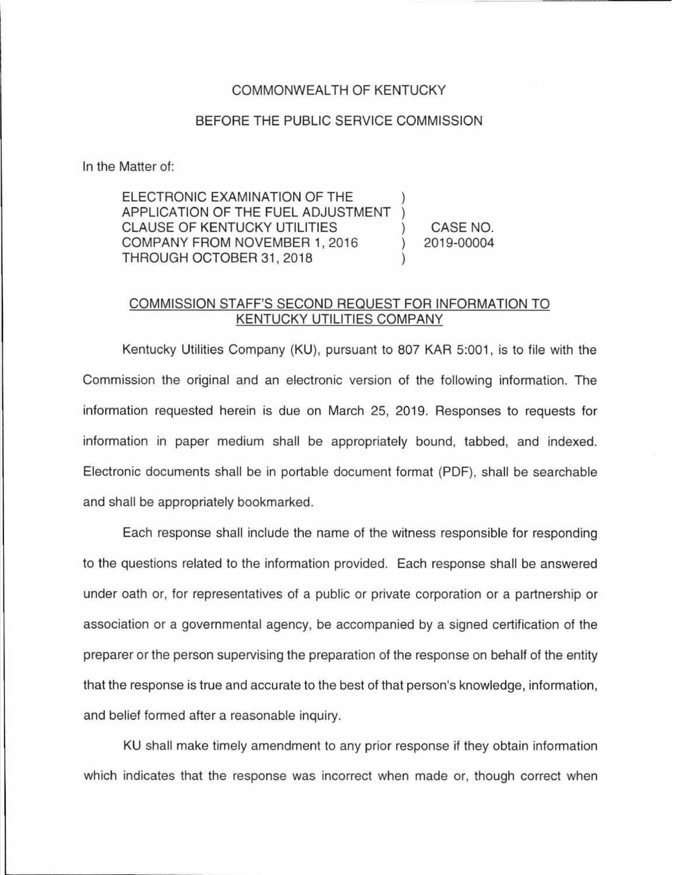## COMMONWEALTH OF KENTUCKY

## BEFORE THE PUBLIC SERVICE COMMISSION

In the Matter of:

ELECTRONIC EXAMINATION OF THE APPLICATION OF THE FUEL ADJUSTMENT CLAUSE OF KENTUCKY UTILITIES COMPANY FROM NOVEMBER 1, 2016 THROUGH OCTOBER 31 , 2018 CASE NO. 2019-00004

## COMMISSION STAFF'S SECOND REQUEST FOR INFORMATION TO KENTUCKY UTILITIES COMPANY

Kentucky Utilities Company (KU), pursuant to 807 KAR 5:001, is to file with the Commission the original and an electronic version of the following information. The information requested herein is due on March 25, 2019. Responses to requests for information in paper medium shall be appropriately bound, tabbed, and indexed. Electronic documents shall be in portable document format (PDF), shall be searchable and shall be appropriately bookmarked.

Each response shall include the name of the witness responsible for responding to the questions related to the information provided. Each response shall be answered under oath or, for representatives of a public or private corporation or a partnership or association or a governmental agency, be accompanied by a signed certification of the preparer or the person supervising the preparation of the response on behalf of the entity that the response is true and accurate to the best of that person's knowledge, information, and belief formed after a reasonable inquiry.

KU shall make timely amendment to any prior response if they obtain information which indicates that the response was incorrect when made or, though correct when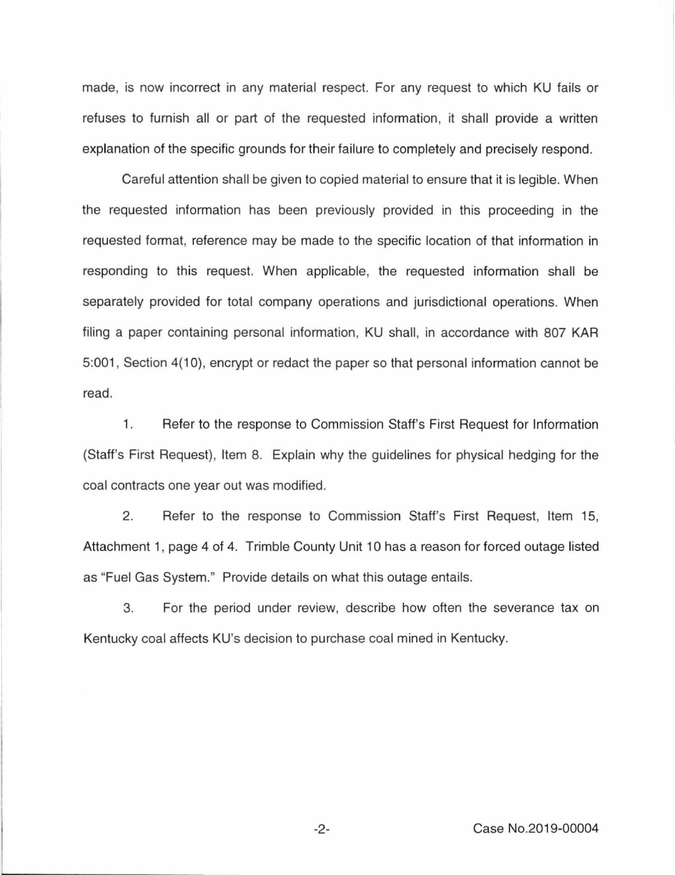made, is now incorrect in any material respect. For any request to which KU fails or refuses to furnish all or part of the requested information, it shall provide a written explanation of the specific grounds for their failure to completely and precisely respond.

Careful attention shall be given to copied material to ensure that it is legible. When the requested information has been previously provided in this proceeding in the requested format, reference may be made to the specific location of that information in responding to this request. When applicable, the requested information shall be separately provided for total company operations and jurisdictional operations. When filing a paper containing personal information, KU shall, in accordance with 807 KAR 5:001 , Section 4(10), encrypt or redact the paper so that personal information cannot be read.

1. Refer to the response to Commission Staff's First Request for Information (Staff's First Request), Item 8. Explain why the guidelines for physical hedging for the coal contracts one year out was modified.

2. Refer to the response to Commission Staff's First Request, Item 15, Attachment 1, page 4 of 4. Trimble County Unit 10 has a reason for forced outage listed as "Fuel Gas System." Provide details on what this outage entails.

3. For the period under review, describe how often the severance tax on Kentucky coal affects KU's decision to purchase coal mined in Kentucky.

-2- Case No.2019-00004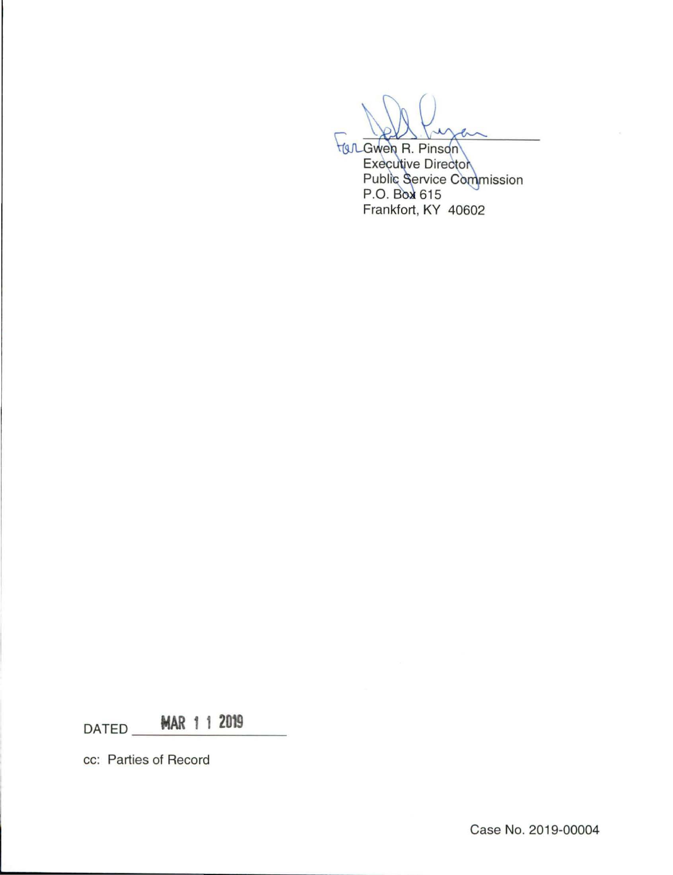**HOL Gwen R. Pinson Executive Director** Public Service Commission<br>P.O. Box 615 Frankfort, KY 40602

MAR 1 1 2019 DATED

cc: Parties of Record